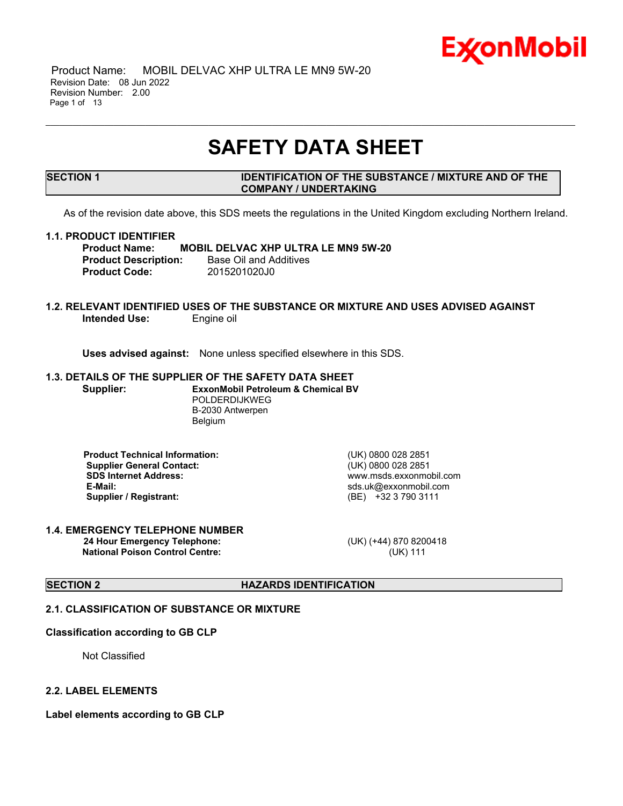

 Product Name: MOBIL DELVAC XHP ULTRA LE MN9 5W-20 Revision Date: 08 Jun 2022 Revision Number: 2.00 Page 1 of 13

## **SAFETY DATA SHEET**

\_\_\_\_\_\_\_\_\_\_\_\_\_\_\_\_\_\_\_\_\_\_\_\_\_\_\_\_\_\_\_\_\_\_\_\_\_\_\_\_\_\_\_\_\_\_\_\_\_\_\_\_\_\_\_\_\_\_\_\_\_\_\_\_\_\_\_\_\_\_\_\_\_\_\_\_\_\_\_\_\_\_\_\_\_\_\_\_\_\_\_\_\_\_\_\_\_\_\_\_\_\_\_\_\_\_\_\_\_\_\_\_\_\_\_\_\_

#### **SECTION 1 IDENTIFICATION OF THE SUBSTANCE / MIXTURE AND OF THE COMPANY / UNDERTAKING**

As of the revision date above, this SDS meets the regulations in the United Kingdom excluding Northern Ireland.

#### **1.1. PRODUCT IDENTIFIER**

**Product Name: MOBIL DELVAC XHP ULTRA LE MN9 5W-20 Product Description:** Base Oil and Additives **Product Code:** 2015201020J0

#### **1.2. RELEVANT IDENTIFIED USES OF THE SUBSTANCE OR MIXTURE AND USES ADVISED AGAINST Intended Use:** Engine oil

**Uses advised against:** None unless specified elsewhere in this SDS.

### **1.3. DETAILS OF THE SUPPLIER OF THE SAFETY DATA SHEET**

**Supplier: ExxonMobil Petroleum & Chemical BV** POLDERDIJKWEG B-2030 Antwerpen Belgium

**Product Technical Information:** (UK) 0800 028 2851 **Supplier General Contact:** (UK) 0800 028 2851 **SDS Internet Address:** www.msds.exxonmobil.com **Supplier / Registrant:** (BE) +32 3 790 3111

**E-Mail:** sds.uk@exxonmobil.com

#### **1.4. EMERGENCY TELEPHONE NUMBER 24 Hour Emergency Telephone:** (UK) (+44) 870 8200418 **National Poison Control Centre:** (UK) 111

## **SECTION 2 HAZARDS IDENTIFICATION**

## **2.1. CLASSIFICATION OF SUBSTANCE OR MIXTURE**

#### **Classification according to GB CLP**

Not Classified

#### **2.2. LABEL ELEMENTS**

**Label elements according to GB CLP**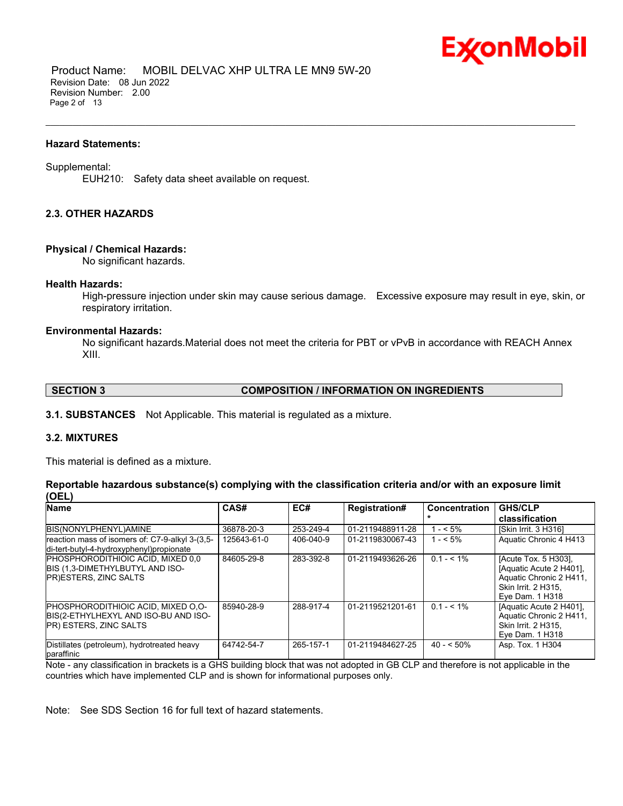

 Product Name: MOBIL DELVAC XHP ULTRA LE MN9 5W-20 Revision Date: 08 Jun 2022 Revision Number: 2.00 Page 2 of 13

#### **Hazard Statements:**

#### Supplemental:

EUH210: Safety data sheet available on request.

#### **2.3. OTHER HAZARDS**

#### **Physical / Chemical Hazards:**

No significant hazards.

#### **Health Hazards:**

High-pressure injection under skin may cause serious damage. Excessive exposure may result in eye, skin, or respiratory irritation.

\_\_\_\_\_\_\_\_\_\_\_\_\_\_\_\_\_\_\_\_\_\_\_\_\_\_\_\_\_\_\_\_\_\_\_\_\_\_\_\_\_\_\_\_\_\_\_\_\_\_\_\_\_\_\_\_\_\_\_\_\_\_\_\_\_\_\_\_\_\_\_\_\_\_\_\_\_\_\_\_\_\_\_\_\_\_\_\_\_\_\_\_\_\_\_\_\_\_\_\_\_\_\_\_\_\_\_\_\_\_\_\_\_\_\_\_\_

#### **Environmental Hazards:**

No significant hazards.Material does not meet the criteria for PBT or vPvB in accordance with REACH Annex XIII.

#### **SECTION 3 COMPOSITION / INFORMATION ON INGREDIENTS**

**3.1. SUBSTANCES** Not Applicable. This material is regulated as a mixture.

### **3.2. MIXTURES**

This material is defined as a mixture.

#### **Reportable hazardous substance(s) complying with the classification criteria and/or with an exposure limit (OEL)**

| <b>Name</b>                                                                                                         | CAS#        | EC#       | <b>Registration#</b> | <b>Concentration</b> | <b>GHS/CLP</b><br>classification                                                                                     |
|---------------------------------------------------------------------------------------------------------------------|-------------|-----------|----------------------|----------------------|----------------------------------------------------------------------------------------------------------------------|
| BIS(NONYLPHENYL)AMINE                                                                                               | 36878-20-3  | 253-249-4 | 01-2119488911-28     | $1 - 5\%$            | ISkin Irrit. 3 H3161                                                                                                 |
| reaction mass of isomers of: C7-9-alkyl 3-(3,5-<br>di-tert-butyl-4-hydroxyphenyl)propionate                         | 125643-61-0 | 406-040-9 | 01-2119830067-43     | $1 - 5\%$            | Aquatic Chronic 4 H413                                                                                               |
| <b>IPHOSPHORODITHIOIC ACID. MIXED 0.0</b><br>BIS (1,3-DIMETHYLBUTYL AND ISO-<br><b>PR)ESTERS, ZINC SALTS</b>        | 84605-29-8  | 283-392-8 | 01-2119493626-26     | $0.1 - 5.1\%$        | [Acute Tox. 5 H303].<br>[Aquatic Acute 2 H401].<br>Aquatic Chronic 2 H411,<br>Skin Irrit. 2 H315,<br>Eye Dam. 1 H318 |
| <b>IPHOSPHORODITHIOIC ACID. MIXED O.O-</b><br>BIS(2-ETHYLHEXYL AND ISO-BU AND ISO-<br><b>PR) ESTERS, ZINC SALTS</b> | 85940-28-9  | 288-917-4 | 01-2119521201-61     | $0.1 - 5.1\%$        | [Aquatic Acute 2 H401].<br>Aquatic Chronic 2 H411,<br><b>Skin Irrit. 2 H315.</b><br>Eye Dam. 1 H318                  |
| Distillates (petroleum), hydrotreated heavy<br>paraffinic                                                           | 64742-54-7  | 265-157-1 | 01-2119484627-25     | $40 - 50\%$          | Asp. Tox. 1 H304                                                                                                     |

Note - any classification in brackets is a GHS building block that was not adopted in GB CLP and therefore is not applicable in the countries which have implemented CLP and is shown for informational purposes only.

Note: See SDS Section 16 for full text of hazard statements.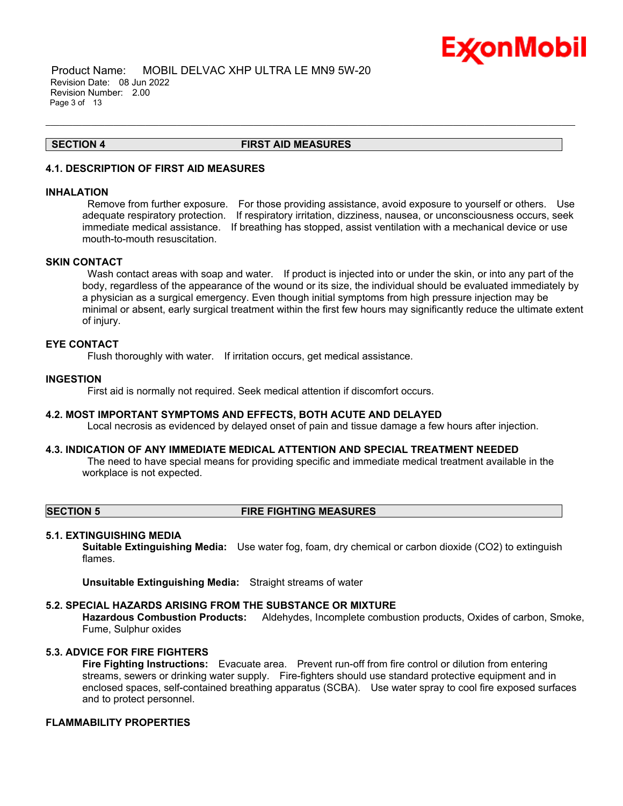

 Product Name: MOBIL DELVAC XHP ULTRA LE MN9 5W-20 Revision Date: 08 Jun 2022 Revision Number: 2.00 Page 3 of 13

#### **SECTION 4 FIRST AID MEASURES**

\_\_\_\_\_\_\_\_\_\_\_\_\_\_\_\_\_\_\_\_\_\_\_\_\_\_\_\_\_\_\_\_\_\_\_\_\_\_\_\_\_\_\_\_\_\_\_\_\_\_\_\_\_\_\_\_\_\_\_\_\_\_\_\_\_\_\_\_\_\_\_\_\_\_\_\_\_\_\_\_\_\_\_\_\_\_\_\_\_\_\_\_\_\_\_\_\_\_\_\_\_\_\_\_\_\_\_\_\_\_\_\_\_\_\_\_\_

#### **4.1. DESCRIPTION OF FIRST AID MEASURES**

#### **INHALATION**

Remove from further exposure. For those providing assistance, avoid exposure to yourself or others. Use adequate respiratory protection. If respiratory irritation, dizziness, nausea, or unconsciousness occurs, seek immediate medical assistance. If breathing has stopped, assist ventilation with a mechanical device or use mouth-to-mouth resuscitation.

#### **SKIN CONTACT**

Wash contact areas with soap and water. If product is injected into or under the skin, or into any part of the body, regardless of the appearance of the wound or its size, the individual should be evaluated immediately by a physician as a surgical emergency. Even though initial symptoms from high pressure injection may be minimal or absent, early surgical treatment within the first few hours may significantly reduce the ultimate extent of injury.

#### **EYE CONTACT**

Flush thoroughly with water. If irritation occurs, get medical assistance.

#### **INGESTION**

First aid is normally not required. Seek medical attention if discomfort occurs.

#### **4.2. MOST IMPORTANT SYMPTOMS AND EFFECTS, BOTH ACUTE AND DELAYED**

Local necrosis as evidenced by delayed onset of pain and tissue damage a few hours after injection.

### **4.3. INDICATION OF ANY IMMEDIATE MEDICAL ATTENTION AND SPECIAL TREATMENT NEEDED**

The need to have special means for providing specific and immediate medical treatment available in the workplace is not expected.

#### **SECTION 5 FIRE FIGHTING MEASURES**

#### **5.1. EXTINGUISHING MEDIA**

**Suitable Extinguishing Media:** Use water fog, foam, dry chemical or carbon dioxide (CO2) to extinguish flames.

**Unsuitable Extinguishing Media:** Straight streams of water

#### **5.2. SPECIAL HAZARDS ARISING FROM THE SUBSTANCE OR MIXTURE**

**Hazardous Combustion Products:** Aldehydes, Incomplete combustion products, Oxides of carbon, Smoke, Fume, Sulphur oxides

### **5.3. ADVICE FOR FIRE FIGHTERS**

**Fire Fighting Instructions:** Evacuate area. Prevent run-off from fire control or dilution from entering streams, sewers or drinking water supply. Fire-fighters should use standard protective equipment and in enclosed spaces, self-contained breathing apparatus (SCBA). Use water spray to cool fire exposed surfaces and to protect personnel.

#### **FLAMMABILITY PROPERTIES**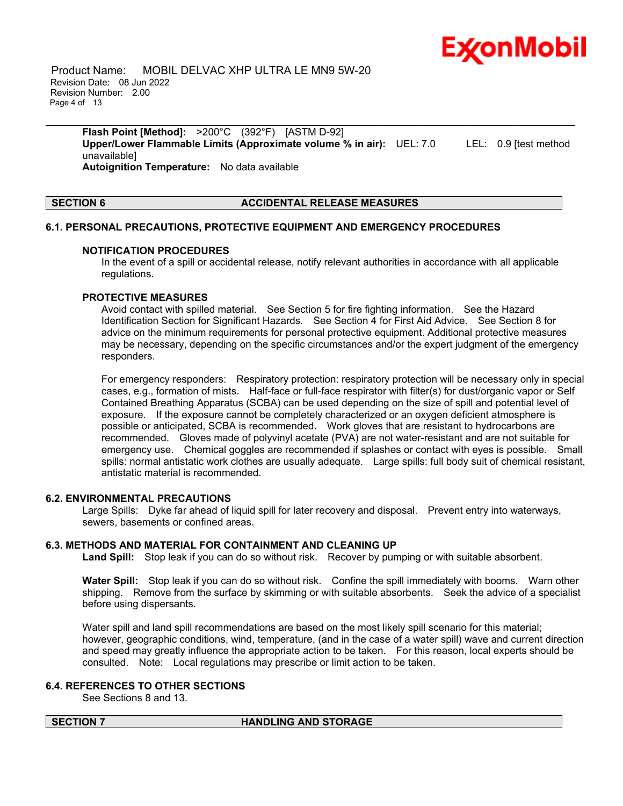

 Product Name: MOBIL DELVAC XHP ULTRA LE MN9 5W-20 Revision Date: 08 Jun 2022 Revision Number: 2.00 Page 4 of 13

**Flash Point [Method]:** >200°C (392°F) [ASTM D-92] **Upper/Lower Flammable Limits (Approximate volume % in air):** UEL: 7.0 LEL: 0.9 [test method unavailable] **Autoignition Temperature:** No data available

\_\_\_\_\_\_\_\_\_\_\_\_\_\_\_\_\_\_\_\_\_\_\_\_\_\_\_\_\_\_\_\_\_\_\_\_\_\_\_\_\_\_\_\_\_\_\_\_\_\_\_\_\_\_\_\_\_\_\_\_\_\_\_\_\_\_\_\_\_\_\_\_\_\_\_\_\_\_\_\_\_\_\_\_\_\_\_\_\_\_\_\_\_\_\_\_\_\_\_\_\_\_\_\_\_\_\_\_\_\_\_\_\_\_\_\_\_

#### **SECTION 6 ACCIDENTAL RELEASE MEASURES**

## **6.1. PERSONAL PRECAUTIONS, PROTECTIVE EQUIPMENT AND EMERGENCY PROCEDURES**

#### **NOTIFICATION PROCEDURES**

In the event of a spill or accidental release, notify relevant authorities in accordance with all applicable regulations.

#### **PROTECTIVE MEASURES**

Avoid contact with spilled material. See Section 5 for fire fighting information. See the Hazard Identification Section for Significant Hazards. See Section 4 for First Aid Advice. See Section 8 for advice on the minimum requirements for personal protective equipment. Additional protective measures may be necessary, depending on the specific circumstances and/or the expert judgment of the emergency responders.

For emergency responders: Respiratory protection: respiratory protection will be necessary only in special cases, e.g., formation of mists. Half-face or full-face respirator with filter(s) for dust/organic vapor or Self Contained Breathing Apparatus (SCBA) can be used depending on the size of spill and potential level of exposure. If the exposure cannot be completely characterized or an oxygen deficient atmosphere is possible or anticipated, SCBA is recommended. Work gloves that are resistant to hydrocarbons are recommended. Gloves made of polyvinyl acetate (PVA) are not water-resistant and are not suitable for emergency use. Chemical goggles are recommended if splashes or contact with eyes is possible. Small spills: normal antistatic work clothes are usually adequate. Large spills: full body suit of chemical resistant, antistatic material is recommended.

### **6.2. ENVIRONMENTAL PRECAUTIONS**

Large Spills: Dyke far ahead of liquid spill for later recovery and disposal. Prevent entry into waterways, sewers, basements or confined areas.

#### **6.3. METHODS AND MATERIAL FOR CONTAINMENT AND CLEANING UP**

**Land Spill:** Stop leak if you can do so without risk. Recover by pumping or with suitable absorbent.

**Water Spill:** Stop leak if you can do so without risk. Confine the spill immediately with booms. Warn other shipping. Remove from the surface by skimming or with suitable absorbents. Seek the advice of a specialist before using dispersants.

Water spill and land spill recommendations are based on the most likely spill scenario for this material; however, geographic conditions, wind, temperature, (and in the case of a water spill) wave and current direction and speed may greatly influence the appropriate action to be taken. For this reason, local experts should be consulted. Note: Local regulations may prescribe or limit action to be taken.

#### **6.4. REFERENCES TO OTHER SECTIONS**

See Sections 8 and 13.

#### **SECTION 7 HANDLING AND STORAGE**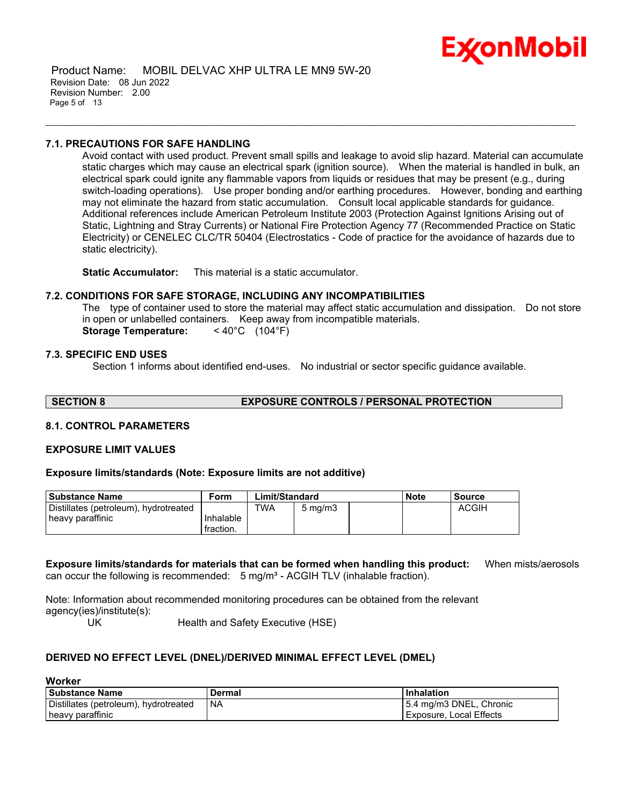

 Product Name: MOBIL DELVAC XHP ULTRA LE MN9 5W-20 Revision Date: 08 Jun 2022 Revision Number: 2.00 Page 5 of 13

#### **7.1. PRECAUTIONS FOR SAFE HANDLING**

Avoid contact with used product. Prevent small spills and leakage to avoid slip hazard. Material can accumulate static charges which may cause an electrical spark (ignition source). When the material is handled in bulk, an electrical spark could ignite any flammable vapors from liquids or residues that may be present (e.g., during switch-loading operations). Use proper bonding and/or earthing procedures. However, bonding and earthing may not eliminate the hazard from static accumulation. Consult local applicable standards for guidance. Additional references include American Petroleum Institute 2003 (Protection Against Ignitions Arising out of Static, Lightning and Stray Currents) or National Fire Protection Agency 77 (Recommended Practice on Static Electricity) or CENELEC CLC/TR 50404 (Electrostatics - Code of practice for the avoidance of hazards due to static electricity).

\_\_\_\_\_\_\_\_\_\_\_\_\_\_\_\_\_\_\_\_\_\_\_\_\_\_\_\_\_\_\_\_\_\_\_\_\_\_\_\_\_\_\_\_\_\_\_\_\_\_\_\_\_\_\_\_\_\_\_\_\_\_\_\_\_\_\_\_\_\_\_\_\_\_\_\_\_\_\_\_\_\_\_\_\_\_\_\_\_\_\_\_\_\_\_\_\_\_\_\_\_\_\_\_\_\_\_\_\_\_\_\_\_\_\_\_\_

**Static Accumulator:** This material is a static accumulator.

#### **7.2. CONDITIONS FOR SAFE STORAGE, INCLUDING ANY INCOMPATIBILITIES**

The type of container used to store the material may affect static accumulation and dissipation. Do not store in open or unlabelled containers. Keep away from incompatible materials. **Storage Temperature:** < 40°C (104°F)

#### **7.3. SPECIFIC END USES**

Section 1 informs about identified end-uses. No industrial or sector specific guidance available.

**SECTION 8 EXPOSURE CONTROLS / PERSONAL PROTECTION**

#### **8.1. CONTROL PARAMETERS**

#### **EXPOSURE LIMIT VALUES**

#### **Exposure limits/standards (Note: Exposure limits are not additive)**

| l Substance Name                      | Form      | Limit/Standard |                  |  | <b>Note</b> | Source       |
|---------------------------------------|-----------|----------------|------------------|--|-------------|--------------|
| Distillates (petroleum), hydrotreated |           | <b>TWA</b>     | $5 \text{ mg/m}$ |  |             | <b>ACGIH</b> |
| heavy paraffinic                      | Inhalable |                |                  |  |             |              |
|                                       | fraction. |                |                  |  |             |              |

**Exposure limits/standards for materials that can be formed when handling this product:** When mists/aerosols can occur the following is recommended:  $5$  mg/m<sup>3</sup> - ACGIH TLV (inhalable fraction).

Note: Information about recommended monitoring procedures can be obtained from the relevant agency(ies)/institute(s):

UK Health and Safety Executive (HSE)

#### **DERIVED NO EFFECT LEVEL (DNEL)/DERIVED MINIMAL EFFECT LEVEL (DMEL)**

| l Substance Name                      | Dermal    | <b>Inhalation</b>       |
|---------------------------------------|-----------|-------------------------|
| Distillates (petroleum), hydrotreated | <b>NA</b> | 5.4 mg/m3 DNEL, Chronic |
| heavy paraffinic                      |           | Exposure, Local Effects |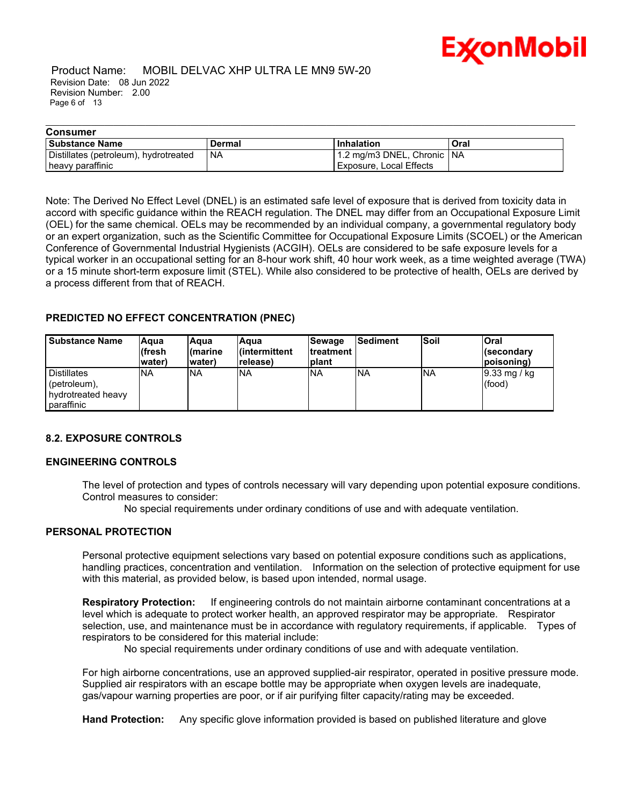

#### Product Name: MOBIL DELVAC XHP ULTRA LE MN9 5W-20 Revision Date: 08 Jun 2022 Revision Number: 2.00 Page 6 of 13

| <b>Consumer</b>                       |        |                            |      |  |  |
|---------------------------------------|--------|----------------------------|------|--|--|
| <b>Substance Name</b>                 | Dermal | l Inhalation               | Oral |  |  |
| Distillates (petroleum), hydrotreated | `NA    | 1.2 mg/m3 DNEL, Chronic NA |      |  |  |
| heavy paraffinic                      |        | Exposure, Local Effects    |      |  |  |

\_\_\_\_\_\_\_\_\_\_\_\_\_\_\_\_\_\_\_\_\_\_\_\_\_\_\_\_\_\_\_\_\_\_\_\_\_\_\_\_\_\_\_\_\_\_\_\_\_\_\_\_\_\_\_\_\_\_\_\_\_\_\_\_\_\_\_\_\_\_\_\_\_\_\_\_\_\_\_\_\_\_\_\_\_\_\_\_\_\_\_\_\_\_\_\_\_\_\_\_\_\_\_\_\_\_\_\_\_\_\_\_\_\_\_\_\_

Note: The Derived No Effect Level (DNEL) is an estimated safe level of exposure that is derived from toxicity data in accord with specific guidance within the REACH regulation. The DNEL may differ from an Occupational Exposure Limit (OEL) for the same chemical. OELs may be recommended by an individual company, a governmental regulatory body or an expert organization, such as the Scientific Committee for Occupational Exposure Limits (SCOEL) or the American Conference of Governmental Industrial Hygienists (ACGIH). OELs are considered to be safe exposure levels for a typical worker in an occupational setting for an 8-hour work shift, 40 hour work week, as a time weighted average (TWA) or a 15 minute short-term exposure limit (STEL). While also considered to be protective of health, OELs are derived by a process different from that of REACH.

### **PREDICTED NO EFFECT CONCENTRATION (PNEC)**

| <b>Substance Name</b>                                                         | lAaua<br>(fresh<br>water) | lAqua<br>l(marine<br>water) | Aqua<br>l(intermittent<br>release) | <b>Sewage</b><br><b>Itreatment</b><br>Iplant | <b>Sediment</b> | <b>Soil</b> | Oral<br>l(secondarv<br> poisoning) |
|-------------------------------------------------------------------------------|---------------------------|-----------------------------|------------------------------------|----------------------------------------------|-----------------|-------------|------------------------------------|
| <b>Distillates</b><br>$!($ petroleum $),$<br>hydrotreated heavy<br>paraffinic | <b>INA</b>                | <b>INA</b>                  | <b>NA</b>                          | <b>INA</b>                                   | 'NA             | <b>INA</b>  | $ 9.33 \text{ mg}$ / kg<br>(food)  |

#### **8.2. EXPOSURE CONTROLS**

#### **ENGINEERING CONTROLS**

The level of protection and types of controls necessary will vary depending upon potential exposure conditions. Control measures to consider:

No special requirements under ordinary conditions of use and with adequate ventilation.

#### **PERSONAL PROTECTION**

Personal protective equipment selections vary based on potential exposure conditions such as applications, handling practices, concentration and ventilation. Information on the selection of protective equipment for use with this material, as provided below, is based upon intended, normal usage.

**Respiratory Protection:** If engineering controls do not maintain airborne contaminant concentrations at a level which is adequate to protect worker health, an approved respirator may be appropriate. Respirator selection, use, and maintenance must be in accordance with regulatory requirements, if applicable. Types of respirators to be considered for this material include:

No special requirements under ordinary conditions of use and with adequate ventilation.

For high airborne concentrations, use an approved supplied-air respirator, operated in positive pressure mode. Supplied air respirators with an escape bottle may be appropriate when oxygen levels are inadequate, gas/vapour warning properties are poor, or if air purifying filter capacity/rating may be exceeded.

**Hand Protection:** Any specific glove information provided is based on published literature and glove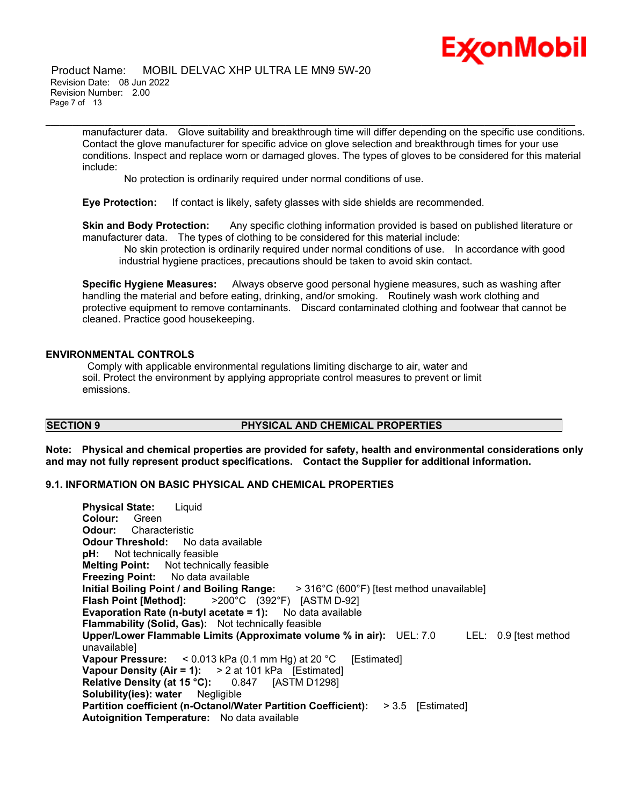#### Product Name: MOBIL DELVAC XHP ULTRA LE MN9 5W-20 Revision Date: 08 Jun 2022 Revision Number: 2.00 Page 7 of 13

manufacturer data. Glove suitability and breakthrough time will differ depending on the specific use conditions. Contact the glove manufacturer for specific advice on glove selection and breakthrough times for your use conditions. Inspect and replace worn or damaged gloves. The types of gloves to be considered for this material include:

\_\_\_\_\_\_\_\_\_\_\_\_\_\_\_\_\_\_\_\_\_\_\_\_\_\_\_\_\_\_\_\_\_\_\_\_\_\_\_\_\_\_\_\_\_\_\_\_\_\_\_\_\_\_\_\_\_\_\_\_\_\_\_\_\_\_\_\_\_\_\_\_\_\_\_\_\_\_\_\_\_\_\_\_\_\_\_\_\_\_\_\_\_\_\_\_\_\_\_\_\_\_\_\_\_\_\_\_\_\_\_\_\_\_\_\_\_

No protection is ordinarily required under normal conditions of use.

**Eye Protection:** If contact is likely, safety glasses with side shields are recommended.

**Skin and Body Protection:** Any specific clothing information provided is based on published literature or manufacturer data. The types of clothing to be considered for this material include:

No skin protection is ordinarily required under normal conditions of use. In accordance with good industrial hygiene practices, precautions should be taken to avoid skin contact.

**Specific Hygiene Measures:** Always observe good personal hygiene measures, such as washing after handling the material and before eating, drinking, and/or smoking. Routinely wash work clothing and protective equipment to remove contaminants. Discard contaminated clothing and footwear that cannot be cleaned. Practice good housekeeping.

### **ENVIRONMENTAL CONTROLS**

Comply with applicable environmental regulations limiting discharge to air, water and soil. Protect the environment by applying appropriate control measures to prevent or limit emissions.

## **SECTION 9 PHYSICAL AND CHEMICAL PROPERTIES**

**Note: Physical and chemical properties are provided for safety, health and environmental considerations only and may not fully represent product specifications. Contact the Supplier for additional information.**

#### **9.1. INFORMATION ON BASIC PHYSICAL AND CHEMICAL PROPERTIES**

**Physical State:** Liquid **Colour:** Green **Odour:** Characteristic **Odour Threshold:** No data available **pH:** Not technically feasible **Melting Point:** Not technically feasible **Freezing Point:** No data available **Initial Boiling Point / and Boiling Range:** > 316°C (600°F) [test method unavailable] **Flash Point [Method]:** >200°C (392°F) [ASTM D-92] **Evaporation Rate (n-butyl acetate = 1):** No data available **Flammability (Solid, Gas):** Not technically feasible **Upper/Lower Flammable Limits (Approximate volume % in air):** UEL: 7.0 LEL: 0.9 [test method unavailable] **Vapour Pressure:** < 0.013 kPa (0.1 mm Hg) at 20 °C [Estimated] **Vapour Density (Air = 1):** > 2 at 101 kPa [Estimated] **Relative Density (at 15 °C):** 0.847 [ASTM D1298] **Solubility(ies): water** Negligible **Partition coefficient (n-Octanol/Water Partition Coefficient):** > 3.5 [Estimated] **Autoignition Temperature:** No data available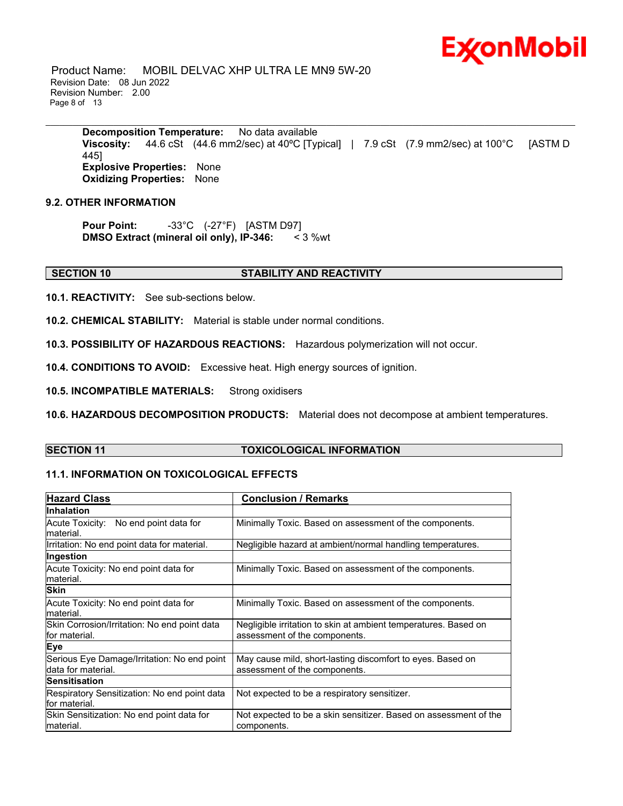Product Name: MOBIL DELVAC XHP ULTRA LE MN9 5W-20 Revision Date: 08 Jun 2022 Revision Number: 2.00 Page 8 of 13

> **Decomposition Temperature:** No data available **Viscosity:** 44.6 cSt (44.6 mm2/sec) at 40ºC [Typical] | 7.9 cSt (7.9 mm2/sec) at 100°C [ASTM D 445] **Explosive Properties:** None **Oxidizing Properties:** None

\_\_\_\_\_\_\_\_\_\_\_\_\_\_\_\_\_\_\_\_\_\_\_\_\_\_\_\_\_\_\_\_\_\_\_\_\_\_\_\_\_\_\_\_\_\_\_\_\_\_\_\_\_\_\_\_\_\_\_\_\_\_\_\_\_\_\_\_\_\_\_\_\_\_\_\_\_\_\_\_\_\_\_\_\_\_\_\_\_\_\_\_\_\_\_\_\_\_\_\_\_\_\_\_\_\_\_\_\_\_\_\_\_\_\_\_\_

#### **9.2. OTHER INFORMATION**

**Pour Point:** -33°C (-27°F) [ASTM D97] **DMSO Extract (mineral oil only), IP-346:** < 3 %wt

#### **SECTION 10 STABILITY AND REACTIVITY**

**10.1. REACTIVITY:** See sub-sections below.

**10.2. CHEMICAL STABILITY:** Material is stable under normal conditions.

**10.3. POSSIBILITY OF HAZARDOUS REACTIONS:** Hazardous polymerization will not occur.

**10.4. CONDITIONS TO AVOID:** Excessive heat. High energy sources of ignition.

**10.5. INCOMPATIBLE MATERIALS:** Strong oxidisers

**10.6. HAZARDOUS DECOMPOSITION PRODUCTS:** Material does not decompose at ambient temperatures.

### **SECTION 11 TOXICOLOGICAL INFORMATION**

### **11.1. INFORMATION ON TOXICOLOGICAL EFFECTS**

| <b>Hazard Class</b>                                               | <b>Conclusion / Remarks</b>                                                                      |  |  |
|-------------------------------------------------------------------|--------------------------------------------------------------------------------------------------|--|--|
| <b>Inhalation</b>                                                 |                                                                                                  |  |  |
| Acute Toxicity: No end point data for<br>material.                | Minimally Toxic. Based on assessment of the components.                                          |  |  |
| Irritation: No end point data for material.                       | Negligible hazard at ambient/normal handling temperatures.                                       |  |  |
| Ingestion                                                         |                                                                                                  |  |  |
| Acute Toxicity: No end point data for<br>material.                | Minimally Toxic. Based on assessment of the components.                                          |  |  |
| <b>Skin</b>                                                       |                                                                                                  |  |  |
| Acute Toxicity: No end point data for<br>material.                | Minimally Toxic. Based on assessment of the components.                                          |  |  |
| Skin Corrosion/Irritation: No end point data<br>for material.     | Negligible irritation to skin at ambient temperatures. Based on<br>assessment of the components. |  |  |
| <b>Eye</b>                                                        |                                                                                                  |  |  |
| Serious Eye Damage/Irritation: No end point<br>data for material. | May cause mild, short-lasting discomfort to eyes. Based on<br>assessment of the components.      |  |  |
| Sensitisation                                                     |                                                                                                  |  |  |
| Respiratory Sensitization: No end point data<br>for material.     | Not expected to be a respiratory sensitizer.                                                     |  |  |
| Skin Sensitization: No end point data for<br>material.            | Not expected to be a skin sensitizer. Based on assessment of the<br>components.                  |  |  |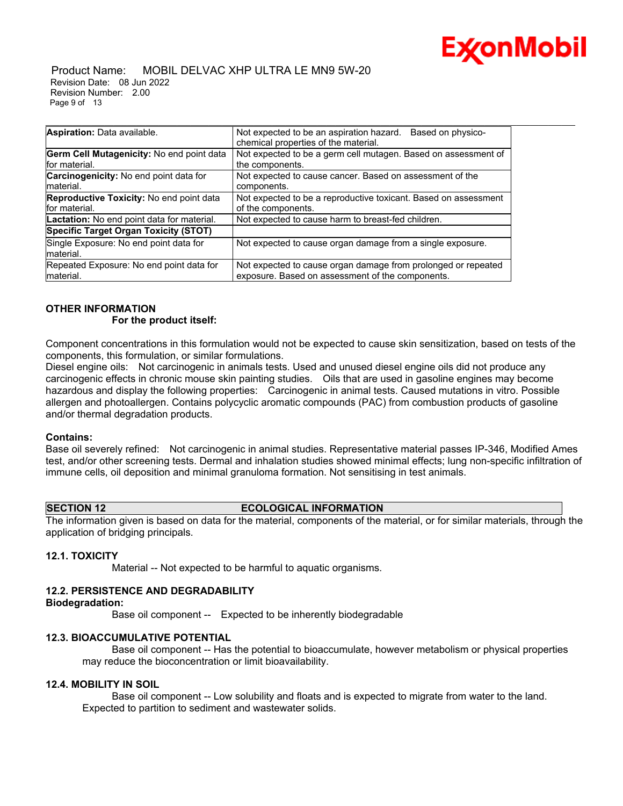

#### Product Name: MOBIL DELVAC XHP ULTRA LE MN9 5W-20 Revision Date: 08 Jun 2022 Revision Number: 2.00 Page 9 of 13

| Aspiration: Data available.                       | Not expected to be an aspiration hazard.<br>Based on physico-   |  |  |
|---------------------------------------------------|-----------------------------------------------------------------|--|--|
|                                                   | chemical properties of the material.                            |  |  |
| Germ Cell Mutagenicity: No end point data         | Not expected to be a germ cell mutagen. Based on assessment of  |  |  |
| for material.                                     | the components.                                                 |  |  |
| Carcinogenicity: No end point data for            | Not expected to cause cancer. Based on assessment of the        |  |  |
| material.                                         | components.                                                     |  |  |
| Reproductive Toxicity: No end point data          | Not expected to be a reproductive toxicant. Based on assessment |  |  |
| for material.                                     | of the components.                                              |  |  |
| <b>Lactation:</b> No end point data for material. | Not expected to cause harm to breast-fed children.              |  |  |
| <b>Specific Target Organ Toxicity (STOT)</b>      |                                                                 |  |  |
| Single Exposure: No end point data for            | Not expected to cause organ damage from a single exposure.      |  |  |
| material.                                         |                                                                 |  |  |
| Repeated Exposure: No end point data for          | Not expected to cause organ damage from prolonged or repeated   |  |  |
| Imaterial.                                        | exposure. Based on assessment of the components.                |  |  |

#### **OTHER INFORMATION For the product itself:**

Component concentrations in this formulation would not be expected to cause skin sensitization, based on tests of the components, this formulation, or similar formulations.

\_\_\_\_\_\_\_\_\_\_\_\_\_\_\_\_\_\_\_\_\_\_\_\_\_\_\_\_\_\_\_\_\_\_\_\_\_\_\_\_\_\_\_\_\_\_\_\_\_\_\_\_\_\_\_\_\_\_\_\_\_\_\_\_\_\_\_\_\_\_\_\_\_\_\_\_\_\_\_\_\_\_\_\_\_\_\_\_\_\_\_\_\_\_\_\_\_\_\_\_\_\_\_\_\_\_\_\_\_\_\_\_\_\_\_\_\_

Diesel engine oils: Not carcinogenic in animals tests. Used and unused diesel engine oils did not produce any carcinogenic effects in chronic mouse skin painting studies. Oils that are used in gasoline engines may become hazardous and display the following properties: Carcinogenic in animal tests. Caused mutations in vitro. Possible allergen and photoallergen. Contains polycyclic aromatic compounds (PAC) from combustion products of gasoline and/or thermal degradation products.

#### **Contains:**

Base oil severely refined: Not carcinogenic in animal studies. Representative material passes IP-346, Modified Ames test, and/or other screening tests. Dermal and inhalation studies showed minimal effects; lung non-specific infiltration of immune cells, oil deposition and minimal granuloma formation. Not sensitising in test animals.

#### **SECTION 12 ECOLOGICAL INFORMATION**

The information given is based on data for the material, components of the material, or for similar materials, through the application of bridging principals.

#### **12.1. TOXICITY**

Material -- Not expected to be harmful to aquatic organisms.

#### **12.2. PERSISTENCE AND DEGRADABILITY**

#### **Biodegradation:**

Base oil component -- Expected to be inherently biodegradable

#### **12.3. BIOACCUMULATIVE POTENTIAL**

 Base oil component -- Has the potential to bioaccumulate, however metabolism or physical properties may reduce the bioconcentration or limit bioavailability.

#### **12.4. MOBILITY IN SOIL**

 Base oil component -- Low solubility and floats and is expected to migrate from water to the land. Expected to partition to sediment and wastewater solids.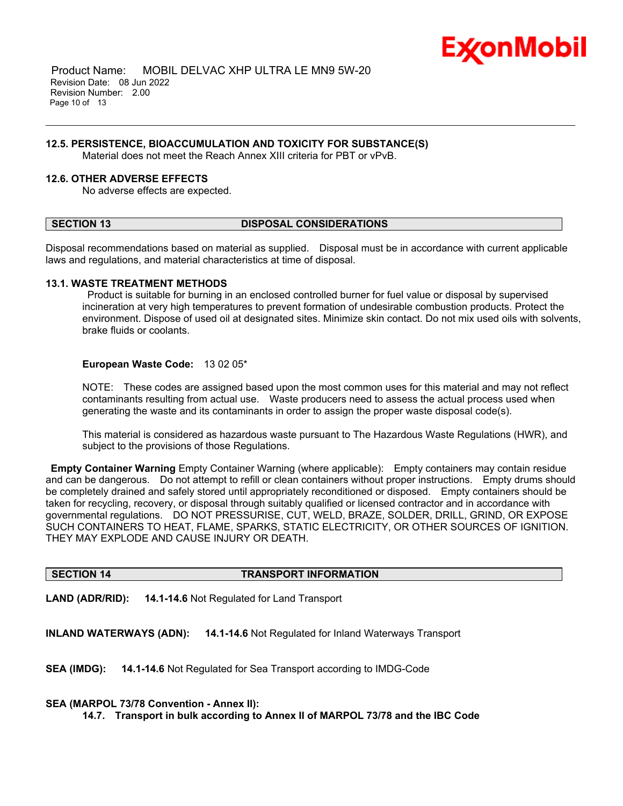

 Product Name: MOBIL DELVAC XHP ULTRA LE MN9 5W-20 Revision Date: 08 Jun 2022 Revision Number: 2.00 Page 10 of 13

#### **12.5. PERSISTENCE, BIOACCUMULATION AND TOXICITY FOR SUBSTANCE(S)**

Material does not meet the Reach Annex XIII criteria for PBT or vPvB.

#### **12.6. OTHER ADVERSE EFFECTS**

No adverse effects are expected.

#### **SECTION 13 DISPOSAL CONSIDERATIONS**

Disposal recommendations based on material as supplied. Disposal must be in accordance with current applicable laws and regulations, and material characteristics at time of disposal.

\_\_\_\_\_\_\_\_\_\_\_\_\_\_\_\_\_\_\_\_\_\_\_\_\_\_\_\_\_\_\_\_\_\_\_\_\_\_\_\_\_\_\_\_\_\_\_\_\_\_\_\_\_\_\_\_\_\_\_\_\_\_\_\_\_\_\_\_\_\_\_\_\_\_\_\_\_\_\_\_\_\_\_\_\_\_\_\_\_\_\_\_\_\_\_\_\_\_\_\_\_\_\_\_\_\_\_\_\_\_\_\_\_\_\_\_\_

#### **13.1. WASTE TREATMENT METHODS**

Product is suitable for burning in an enclosed controlled burner for fuel value or disposal by supervised incineration at very high temperatures to prevent formation of undesirable combustion products. Protect the environment. Dispose of used oil at designated sites. Minimize skin contact. Do not mix used oils with solvents, brake fluids or coolants.

#### **European Waste Code:** 13 02 05\*

NOTE: These codes are assigned based upon the most common uses for this material and may not reflect contaminants resulting from actual use. Waste producers need to assess the actual process used when generating the waste and its contaminants in order to assign the proper waste disposal code(s).

This material is considered as hazardous waste pursuant to The Hazardous Waste Regulations (HWR), and subject to the provisions of those Regulations.

**Empty Container Warning** Empty Container Warning (where applicable): Empty containers may contain residue and can be dangerous. Do not attempt to refill or clean containers without proper instructions. Empty drums should be completely drained and safely stored until appropriately reconditioned or disposed. Empty containers should be taken for recycling, recovery, or disposal through suitably qualified or licensed contractor and in accordance with governmental regulations. DO NOT PRESSURISE, CUT, WELD, BRAZE, SOLDER, DRILL, GRIND, OR EXPOSE SUCH CONTAINERS TO HEAT, FLAME, SPARKS, STATIC ELECTRICITY, OR OTHER SOURCES OF IGNITION. THEY MAY EXPLODE AND CAUSE INJURY OR DEATH.

#### **SECTION 14 TRANSPORT INFORMATION**

**LAND (ADR/RID): 14.1-14.6** Not Regulated for Land Transport

**INLAND WATERWAYS (ADN): 14.1-14.6** Not Regulated for Inland Waterways Transport

**SEA (IMDG): 14.1-14.6** Not Regulated for Sea Transport according to IMDG-Code

#### **SEA (MARPOL 73/78 Convention - Annex II):**

**14.7. Transport in bulk according to Annex II of MARPOL 73/78 and the IBC Code**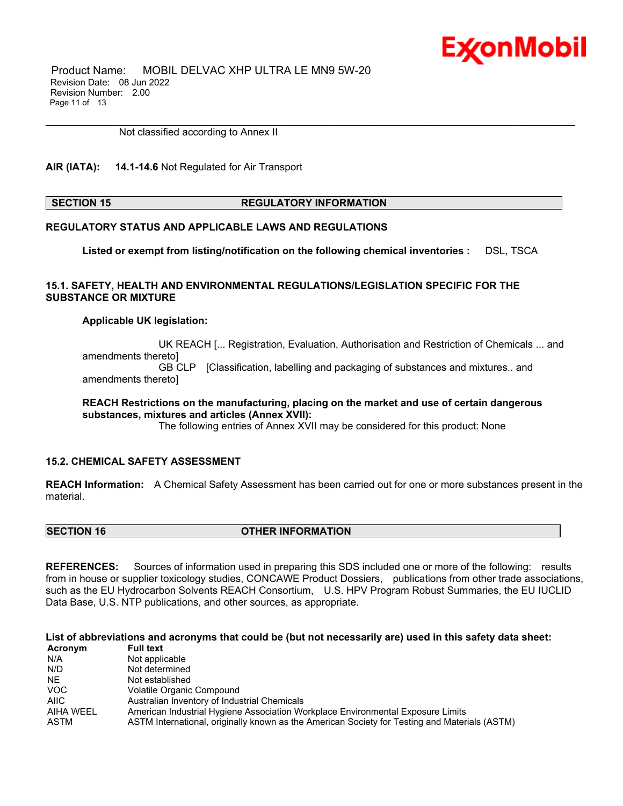Product Name: MOBIL DELVAC XHP ULTRA LE MN9 5W-20 Revision Date: 08 Jun 2022 Revision Number: 2.00 Page 11 of 13

Not classified according to Annex II

#### **AIR (IATA): 14.1-14.6** Not Regulated for Air Transport

### **SECTION 15 REGULATORY INFORMATION**

\_\_\_\_\_\_\_\_\_\_\_\_\_\_\_\_\_\_\_\_\_\_\_\_\_\_\_\_\_\_\_\_\_\_\_\_\_\_\_\_\_\_\_\_\_\_\_\_\_\_\_\_\_\_\_\_\_\_\_\_\_\_\_\_\_\_\_\_\_\_\_\_\_\_\_\_\_\_\_\_\_\_\_\_\_\_\_\_\_\_\_\_\_\_\_\_\_\_\_\_\_\_\_\_\_\_\_\_\_\_\_\_\_\_\_\_\_

### **REGULATORY STATUS AND APPLICABLE LAWS AND REGULATIONS**

**Listed or exempt from listing/notification on the following chemical inventories :** DSL, TSCA

#### **15.1. SAFETY, HEALTH AND ENVIRONMENTAL REGULATIONS/LEGISLATION SPECIFIC FOR THE SUBSTANCE OR MIXTURE**

#### **Applicable UK legislation:**

 UK REACH [... Registration, Evaluation, Authorisation and Restriction of Chemicals ... and amendments thereto] GB CLP [Classification, labelling and packaging of substances and mixtures.. and amendments thereto]

**REACH Restrictions on the manufacturing, placing on the market and use of certain dangerous substances, mixtures and articles (Annex XVII):**

The following entries of Annex XVII may be considered for this product: None

#### **15.2. CHEMICAL SAFETY ASSESSMENT**

**REACH Information:** A Chemical Safety Assessment has been carried out for one or more substances present in the material.

| <b>SECTION 16</b> | <b>OTHER INFORMATION</b> |  |
|-------------------|--------------------------|--|
|                   |                          |  |

**REFERENCES:** Sources of information used in preparing this SDS included one or more of the following: results from in house or supplier toxicology studies, CONCAWE Product Dossiers, publications from other trade associations, such as the EU Hydrocarbon Solvents REACH Consortium, U.S. HPV Program Robust Summaries, the EU IUCLID Data Base, U.S. NTP publications, and other sources, as appropriate.

List of abbreviations and acronyms that could be (but not necessarily are) used in this safety data sheet:

| Acronym   | <b>Full text</b>                                                                              |
|-----------|-----------------------------------------------------------------------------------------------|
| N/A       | Not applicable                                                                                |
| N/D       | Not determined                                                                                |
| NE.       | Not established                                                                               |
| VOC.      | Volatile Organic Compound                                                                     |
| AIIC      | Australian Inventory of Industrial Chemicals                                                  |
| AIHA WEEL | American Industrial Hygiene Association Workplace Environmental Exposure Limits               |
| ASTM      | ASTM International, originally known as the American Society for Testing and Materials (ASTM) |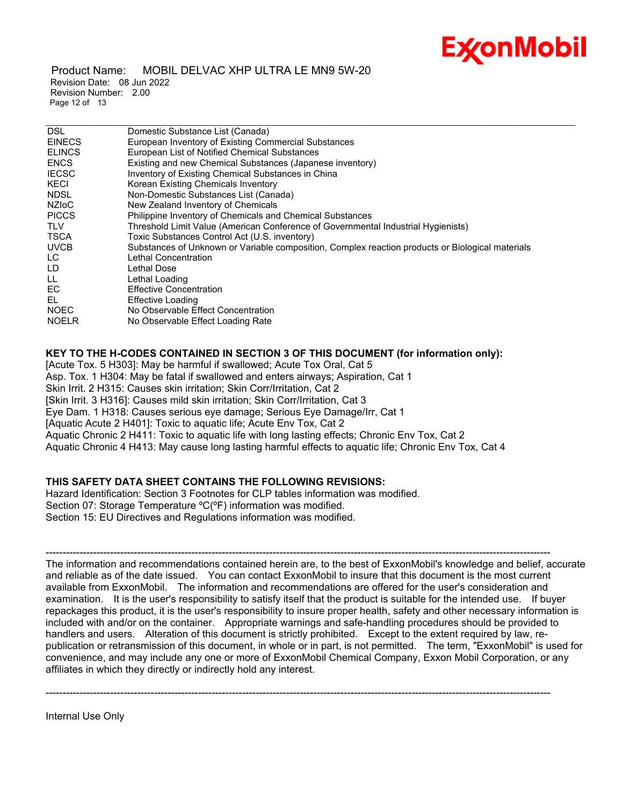Product Name: MOBIL DELVAC XHP ULTRA LE MN9 5W-20 Revision Date: 08 Jun 2022 Revision Number: 2.00 Page 12 of 13

| <b>DSL</b>    | Domestic Substance List (Canada)                                                                 |
|---------------|--------------------------------------------------------------------------------------------------|
| <b>EINECS</b> | European Inventory of Existing Commercial Substances                                             |
| <b>ELINCS</b> | European List of Notified Chemical Substances                                                    |
| <b>ENCS</b>   | Existing and new Chemical Substances (Japanese inventory)                                        |
| <b>IECSC</b>  | Inventory of Existing Chemical Substances in China                                               |
| KECI          | Korean Existing Chemicals Inventory                                                              |
| <b>NDSL</b>   | Non-Domestic Substances List (Canada)                                                            |
| <b>NZIOC</b>  | New Zealand Inventory of Chemicals                                                               |
| <b>PICCS</b>  | Philippine Inventory of Chemicals and Chemical Substances                                        |
| <b>TLV</b>    | Threshold Limit Value (American Conference of Governmental Industrial Hygienists)                |
| TSCA          | Toxic Substances Control Act (U.S. inventory)                                                    |
| <b>UVCB</b>   | Substances of Unknown or Variable composition, Complex reaction products or Biological materials |
| LC.           | Lethal Concentration                                                                             |
| LD.           | Lethal Dose                                                                                      |
| LL            | Lethal Loading                                                                                   |
| EC            | <b>Effective Concentration</b>                                                                   |
| EL.           | Effective Loading                                                                                |
| <b>NOEC</b>   | No Observable Effect Concentration                                                               |
| <b>NOELR</b>  | No Observable Effect Loading Rate                                                                |
|               |                                                                                                  |

\_\_\_\_\_\_\_\_\_\_\_\_\_\_\_\_\_\_\_\_\_\_\_\_\_\_\_\_\_\_\_\_\_\_\_\_\_\_\_\_\_\_\_\_\_\_\_\_\_\_\_\_\_\_\_\_\_\_\_\_\_\_\_\_\_\_\_\_\_\_\_\_\_\_\_\_\_\_\_\_\_\_\_\_\_\_\_\_\_\_\_\_\_\_\_\_\_\_\_\_\_\_\_\_\_\_\_\_\_\_\_\_\_\_\_\_\_

## **KEY TO THE H-CODES CONTAINED IN SECTION 3 OF THIS DOCUMENT (for information only):**

[Acute Tox. 5 H303]: May be harmful if swallowed; Acute Tox Oral, Cat 5 Asp. Tox. 1 H304: May be fatal if swallowed and enters airways; Aspiration, Cat 1 Skin Irrit. 2 H315: Causes skin irritation; Skin Corr/Irritation, Cat 2 [Skin Irrit. 3 H316]: Causes mild skin irritation; Skin Corr/Irritation, Cat 3 Eye Dam. 1 H318: Causes serious eye damage; Serious Eye Damage/Irr, Cat 1 [Aquatic Acute 2 H401]: Toxic to aquatic life; Acute Env Tox, Cat 2 Aquatic Chronic 2 H411: Toxic to aquatic life with long lasting effects; Chronic Env Tox, Cat 2 Aquatic Chronic 4 H413: May cause long lasting harmful effects to aquatic life; Chronic Env Tox, Cat 4

## **THIS SAFETY DATA SHEET CONTAINS THE FOLLOWING REVISIONS:**

Hazard Identification: Section 3 Footnotes for CLP tables information was modified. Section 07: Storage Temperature ºC(ºF) information was modified. Section 15: EU Directives and Regulations information was modified.

----------------------------------------------------------------------------------------------------------------------------------------------------- The information and recommendations contained herein are, to the best of ExxonMobil's knowledge and belief, accurate and reliable as of the date issued. You can contact ExxonMobil to insure that this document is the most current available from ExxonMobil. The information and recommendations are offered for the user's consideration and examination. It is the user's responsibility to satisfy itself that the product is suitable for the intended use. If buyer repackages this product, it is the user's responsibility to insure proper health, safety and other necessary information is included with and/or on the container. Appropriate warnings and safe-handling procedures should be provided to handlers and users. Alteration of this document is strictly prohibited. Except to the extent required by law, republication or retransmission of this document, in whole or in part, is not permitted. The term, "ExxonMobil" is used for convenience, and may include any one or more of ExxonMobil Chemical Company, Exxon Mobil Corporation, or any affiliates in which they directly or indirectly hold any interest.

-----------------------------------------------------------------------------------------------------------------------------------------------------

Internal Use Only